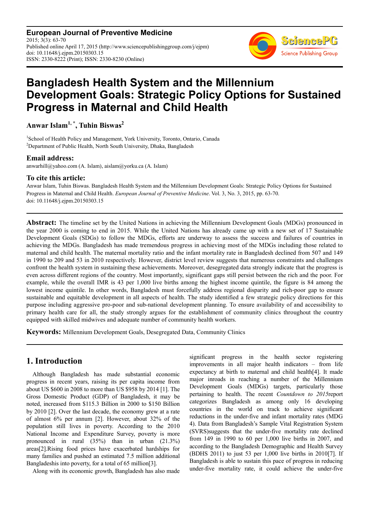**European Journal of Preventive Medicine**  $2015: 3(3): 63-70$ Published online April 17, 2015 (http://www.sciencepublishinggroup.com/j/ejpm) doi: 10.11648/j.ejpm.20150303.15 ISSN: 2330-8222 (Print); ISSN: 2330-8230 (Online)



# **Bangladesh Health System and the Millennium Development Goals: Strategic Policy Options for Sustained Progress in Maternal and Child Health**

**Anwar Islam1, \*, Tuhin Biswas<sup>2</sup>**

<sup>1</sup>School of Health Policy and Management, York University, Toronto, Ontario, Canada <sup>2</sup>Department of Public Health, North South University, Dhaka, Bangladesh

#### **Email address:**

anwarhill@yahoo.com (A. Islam), aislam@yorku.ca (A. Islam)

#### **To cite this article:**

Anwar Islam, Tuhin Biswas. Bangladesh Health System and the Millennium Development Goals: Strategic Policy Options for Sustained Progress in Maternal and Child Health. *European Journal of Preventive Medicine*. Vol. 3, No. 3, 2015, pp. 63-70. doi: 10.11648/j.ejpm.20150303.15

**Abstract:** The timeline set by the United Nations in achieving the Millennium Development Goals (MDGs) pronounced in the year 2000 is coming to end in 2015. While the United Nations has already came up with a new set of 17 Sustainable Development Goals (SDGs) to follow the MDGs, efforts are underway to assess the success and failures of countries in achieving the MDGs. Bangladesh has made tremendous progress in achieving most of the MDGs including those related to maternal and child health. The maternal mortality ratio and the infant mortality rate in Bangladesh declined from 507 and 149 in 1990 to 209 and 53 in 2010 respectively. However, district level review suggests that numerous constraints and challenges confront the health system in sustaining these achievements. Moreover, desegregated data strongly indicate that the progress is even across different regions of the country. Most importantly, significant gaps still persist between the rich and the poor. For example, while the overall IMR is 43 per 1,000 live births among the highest income quintile, the figure is 84 among the lowest income quintile. In other words, Bangladesh must forcefully address regional disparity and rich-poor gap to ensure sustainable and equitable development in all aspects of health. The study identified a few strategic policy directions for this purpose including aggressive pro-poor and sub-national development planning. To ensure availability of and accessibility to primary health care for all, the study strongly argues for the establishment of community clinics throughout the country equipped with skilled midwives and adequate number of community health workers.

**Keywords:** Millennium Development Goals, Desegregated Data, Community Clinics

## **1. Introduction**

Although Bangladesh has made substantial economic progress in recent years, raising its per capita income from about US \$600 in 2008 to more than US \$958 by 2014 [1]. The Gross Domestic Product (GDP) of Bangladesh, it may be noted, increased from \$115.3 Billion in 2000 to \$150 Billion by 2010 [2]. Over the last decade, the economy grew at a rate of almost 6% per annum [2]. However, about 32% of the population still lives in poverty. According to the 2010 National Income and Expenditure Survey, poverty is more pronounced in rural (35%) than in urban (21.3%) areas[2].Rising food prices have exacerbated hardships for many families and pushed an estimated 7.5 million additional Bangladeshis into poverty, for a total of 65 million[3].

Along with its economic growth, Bangladesh has also made

significant progress in the health sector registering improvements in all major health indicators – from life expectancy at birth to maternal and child health[4]. It made major inroads in reaching a number of the Millennium Development Goals (MDGs) targets, particularly those pertaining to health. The recent *Countdown to 2015*report categorizes Bangladesh as among only 16 developing countries in the world on track to achieve significant reductions in the under-five and infant mortality rates (MDG 4). Data from Bangladesh's Sample Vital Registration System (SVRS)suggests that the under-five mortality rate declined from 149 in 1990 to 60 per 1,000 live births in 2007, and according to the Bangladesh Demographic and Health Survey (BDHS 2011) to just 53 per 1,000 live births in 2010[7]. If Bangladesh is able to sustain this pace of progress in reducing under-five mortality rate, it could achieve the under-five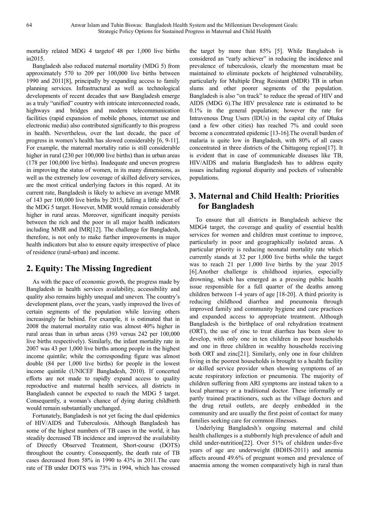mortality related MDG 4 targetof 48 per 1,000 live births in2015.

Bangladesh also reduced maternal mortality (MDG 5) from approximately 570 to 209 per 100,000 live births between 1990 and 2011[8], principally by expanding access to family planning services. Infrastructural as well as technological developments of recent decades that saw Bangladesh emerge as a truly "unified" country with intricate interconnected roads, highways and bridges and modern telecommunication facilities (rapid expansion of mobile phones, internet use and electronic media) also contributed significantly to this progress in health. Nevertheless, over the last decade, the pace of progress in women's health has slowed considerably [6, 9-11]. For example, the maternal mortality ratio is still considerable higher in rural (230 per 100,000 live births) than in urban areas (178 per 100,000 live births). Inadequate and uneven progress in improving the status of women, in its many dimensions, as well as the extremely low coverage of skilled delivery services, are the most critical underlying factors in this regard. At its current rate, Bangladesh is likely to achieve an average MMR of 143 per 100,000 live births by 2015, falling a little short of the MDG 5 target. However, MMR would remain considerably higher in rural areas. Moreover, significant inequity persists between the rich and the poor in all major health indicators including MMR and IMR[12]. The challenge for Bangladesh, therefore, is not only to make further improvements in major health indicators but also to ensure equity irrespective of place of residence (rural-urban) and income.

## **2. Equity: The Missing Ingredient**

As with the pace of economic growth, the progress made by Bangladesh in health services availability, accessibility and quality also remains highly unequal and uneven. The country's development plans, over the years, vastly improved the lives of certain segments of the population while leaving others increasingly far behind. For example, it is estimated that in 2008 the maternal mortality ratio was almost 40% higher in rural areas than in urban areas (393 versus 242 per 100,000 live births respectively). Similarly, the infant mortality rate in 2007 was 43 per 1,000 live births among people in the highest income quintile; while the corresponding figure was almost double (84 per 1,000 live births) for people in the lowest income quintile (UNICEF Bangladesh, 2010). If concerted efforts are not made to rapidly expand access to quality reproductive and maternal health services, all districts in Bangladesh cannot be expected to reach the MDG 5 target. Consequently, a woman's chance of dying during childbirth would remain substantially unchanged.

Fortunately, Bangladesh is not yet facing the dual epidemics of HIV/AIDS and Tuberculosis. Although Bangladesh has some of the highest numbers of TB cases in the world, it has steadily decreased TB incidence and improved the availability of Directly Observed Treatment, Short-course (DOTS) throughout the country. Consequently, the death rate of TB cases decreased from 58% in 1990 to 43% in 2011.The cure rate of TB under DOTS was 73% in 1994, which has crossed

the target by more than 85% [5]. While Bangladesh is considered an "early achiever" in reducing the incidence and prevalence of tuberculosis, clearly the momentum must be maintained to eliminate pockets of heightened vulnerability, particularly for Multiple Drug Resistant (MDR) TB in urban slums and other poorer segments of the population. Bangladesh is also "on track" to reduce the spread of HIV and AIDS (MDG 6).The HIV prevalence rate is estimated to be 0.1% in the general population; however the rate for Intravenous Drug Users (IDUs) in the capital city of Dhaka (and a few other cities) has reached 7% and could soon become a concentrated epidemic [13-16].The overall burden of malaria is quite low in Bangladesh, with 80% of all cases concentrated in three districts of the Chittagong region[17]. It is evident that in case of communicable diseases like TB, HIV/AIDS and malaria Bangladesh has to address equity issues including regional disparity and pockets of vulnerable populations.

## **3. Maternal and Child Health: Priorities for Bangladesh**

To ensure that all districts in Bangladesh achieve the MDG4 target, the coverage and quality of essential health services for women and children must continue to improve, particularly in poor and geographically isolated areas. A particular priority is reducing neonatal mortality rate which currently stands at 32 per 1,000 live births while the target was to reach 21 per 1,000 live births by the year 2015 [6].Another challenge is childhood injuries, especially drowning, which has emerged as a pressing public health issue responsible for a full quarter of the deaths among children between 1-4 years of age [18-20]. A third priority is reducing childhood diarrhea and pneumonia through improved family and community hygiene and care practices and expanded access to appropriate treatment. Although Bangladesh is the birthplace of oral rehydration treatment (ORT), the use of zinc to treat diarrhea has been slow to develop, with only one in ten children in poor households and one in three children in wealthy households receiving both ORT and zinc[21]. Similarly, only one in four children living in the poorest households is brought to a health facility or skilled service provider when showing symptoms of an acute respiratory infection or pneumonia. The majority of children suffering from ARI symptoms are instead taken to a local pharmacy or a traditional doctor. These informally or partly trained practitioners, such as the village doctors and the drug retail outlets, are deeply embedded in the community and are usually the first point of contact for many families seeking care for common illnesses.

Underlying Bangladesh's ongoing maternal and child health challenges is a stubbornly high prevalence of adult and child under-nutrition[22]. Over 51% of children under-five years of age are underweight (BDHS-2011) and anemia affects around 49.6% of pregnant women and prevalence of anaemia among the women comparatively high in rural than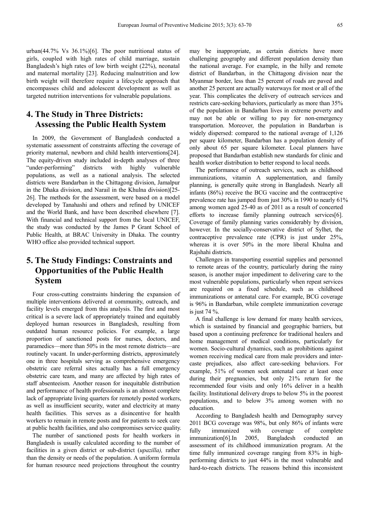urban(44.7% Vs 36.1%)[6]. The poor nutritional status of girls, coupled with high rates of child marriage, sustain Bangladesh's high rates of low birth weight (22%), neonatal and maternal mortality [23]. Reducing malnutrition and low birth weight will therefore require a lifecycle approach that encompasses child and adolescent development as well as targeted nutrition interventions for vulnerable populations.

## **4. The Study in Three Districts: Assessing the Public Health System**

In 2009, the Government of Bangladesh conducted a systematic assessment of constraints affecting the coverage of priority maternal, newborn and child health interventions[24]. The equity-driven study included in-depth analyses of three "under-performing" districts with highly vulnerable populations, as well as a national analysis. The selected districts were Bandarban in the Chittagong division, Jamalpur in the Dhaka division, and Narail in the Khulna division)[25- 26]. The methods for the assessment, were based on a model developed by Tanahashi and others and refined by UNICEF and the World Bank, and have been described elsewhere [7]. With financial and technical support from the local UNICEF, the study was conducted by the James P Grant School of Public Health, at BRAC University in Dhaka. The country WHO office also provided technical support.

## **5. The Study Findings: Constraints and Opportunities of the Public Health System**

Four cross-cutting constraints hindering the expansion of multiple interventions delivered at community, outreach, and facility levels emerged from this analysis. The first and most critical is a severe lack of appropriately trained and equitably deployed human resources in Bangladesh, resulting from outdated human resource policies. For example, a large proportion of sanctioned posts for nurses, doctors, and paramedics—more than 50% in the most remote districts—are routinely vacant. In under-performing districts, approximately one in three hospitals serving as comprehensive emergency obstetric care referral sites actually has a full emergency obstetric care team, and many are affected by high rates of staff absenteeism. Another reason for inequitable distribution and performance of health professionals is an almost complete lack of appropriate living quarters for remotely posted workers, as well as insufficient security, water and electricity at many health facilities. This serves as a disincentive for health workers to remain in remote posts and for patients to seek care at public health facilities, and also compromises service quality.

The number of sanctioned posts for health workers in Bangladesh is usually calculated according to the number of facilities in a given district or sub-district (*upazilla),* rather than the density or needs of the population. A uniform formula for human resource need projections throughout the country

may be inappropriate, as certain districts have more challenging geography and different population density than the national average. For example, in the hilly and remote district of Bandarban, in the Chittagong division near the Myanmar border, less than 25 percent of roads are paved and another 25 percent are actually waterways for most or all of the year. This complicates the delivery of outreach services and restricts care-seeking behaviors, particularly as more than 35% of the population in Bandarban lives in extreme poverty and may not be able or willing to pay for non-emergency transportation. Moreover, the population in Bandarban is widely dispersed: compared to the national average of 1,126 per square kilometer, Bandarban has a population density of only about 65 per square kilometer. Local planners have proposed that Bandarban establish new standards for clinic and health worker distribution to better respond to local needs.

The performance of outreach services, such as childhood immunizations, vitamin A supplementation, and family planning, is generally quite strong in Bangladesh. Nearly all infants (86%) receive the BCG vaccine and the contraceptive prevalence rate has jumped from just 30% in 1990 to nearly 61% among women aged 25-40 as of 2011 as a result of concerted efforts to increase family planning outreach services[6]. Coverage of family planning varies considerably by division, however. In the socially-conservative district of Sylhet, the contraceptive prevalence rate (CPR) is just under 25%, whereas it is over 50% in the more liberal Khulna and Rajshahi districts.

Challenges in transporting essential supplies and personnel to remote areas of the country, particularly during the rainy season, is another major impediment to delivering care to the most vulnerable populations, particularly when repeat services are required on a fixed schedule, such as childhood immunizations or antenatal care. For example, BCG coverage is 96% in Bandarban, while complete immunization coverage is just 74 %.

A final challenge is low demand for many health services, which is sustained by financial and geographic barriers, but based upon a continuing preference for traditional healers and home management of medical conditions, particularly for women. Socio-cultural dynamics, such as prohibitions against women receiving medical care from male providers and intercaste prejudices, also affect care-seeking behaviors. For example, 51% of women seek antenatal care at least once during their pregnancies, but only 21% return for the recommended four visits and only 16% deliver in a health facility. Institutional delivery drops to below 5% in the poorest populations, and to below 3% among women with no education.

According to Bangladesh health and Demography survey 2011 BCG coverage was 98%, but only 86% of infants were fully immunized with coverage of complete immunization[6].In 2005, Bangladesh conducted an assessment of its childhood immunization program. At the time fully immunized coverage ranging from 83% in highperforming districts to just 44% in the most vulnerable and hard-to-reach districts. The reasons behind this inconsistent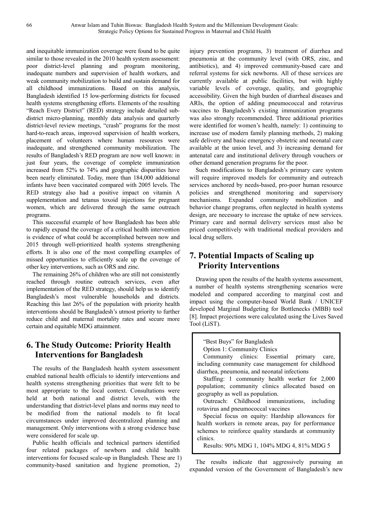and inequitable immunization coverage were found to be quite similar to those revealed in the 2010 health system assessment: poor district-level planning and program monitoring, inadequate numbers and supervision of health workers, and weak community mobilization to build and sustain demand for all childhood immunizations. Based on this analysis, Bangladesh identified 15 low-performing districts for focused health systems strengthening efforts. Elements of the resulting "Reach Every District" (RED) strategy include detailed subdistrict micro-planning, monthly data analysis and quarterly district-level review meetings, "crash" programs for the most hard-to-reach areas, improved supervision of health workers, placement of volunteers where human resources were inadequate, and strengthened community mobilization. The results of Bangladesh's RED program are now well known: in just four years, the coverage of complete immunization increased from 52% to 74% and geographic disparities have been nearly eliminated. Today, more than 184,000 additional infants have been vaccinated compared with 2005 levels. The RED strategy also had a positive impact on vitamin A supplementation and tetanus toxoid injections for pregnant women, which are delivered through the same outreach programs.

This successful example of how Bangladesh has been able to rapidly expand the coverage of a critical health intervention is evidence of what could be accomplished between now and 2015 through well-prioritized health systems strengthening efforts. It is also one of the most compelling examples of missed opportunities to efficiently scale up the coverage of other key interventions, such as ORS and zinc.

The remaining 26% of children who are still not consistently reached through routine outreach services, even after implementation of the RED strategy, should help us to identify Bangladesh's most vulnerable households and districts. Reaching this last 26% of the population with priority health interventions should be Bangladesh's utmost priority to further reduce child and maternal mortality rates and secure more certain and equitable MDG attainment.

# **6. The Study Outcome: Priority Health Interventions for Bangladesh**

The results of the Bangladesh health system assessment enabled national health officials to identify interventions and health systems strengthening priorities that were felt to be most appropriate to the local context. Consultations were held at both national and district levels, with the understanding that district-level plans and norms may need to be modified from the national models to fit local circumstances under improved decentralized planning and management. Only interventions with a strong evidence base were considered for scale up.

Public health officials and technical partners identified four related packages of newborn and child health interventions for focused scale-up in Bangladesh. These are 1) community-based sanitation and hygiene promotion, 2)

injury prevention programs, 3) treatment of diarrhea and pneumonia at the community level (with ORS, zinc, and antibiotics), and 4) improved community-based care and referral systems for sick newborns. All of these services are currently available at public facilities, but with highly variable levels of coverage, quality, and geographic accessibility. Given the high burden of diarrheal diseases and ARIs, the option of adding pneumococcal and rotavirus vaccines to Bangladesh's existing immunization programs was also strongly recommended. Three additional priorities were identified for women's health, namely: 1) continuing to increase use of modern family planning methods, 2) making safe delivery and basic emergency obstetric and neonatal care available at the union level, and 3) increasing demand for antenatal care and institutional delivery through vouchers or other demand generation programs for the poor.

Such modifications to Bangladesh's primary care system will require improved models for community and outreach services anchored by needs-based, pro-poor human resource policies and strengthened monitoring and supervisory mechanisms. Expanded community mobilization and behavior change programs, often neglected in health systems design, are necessary to increase the uptake of new services. Primary care and normal delivery services must also be priced competitively with traditional medical providers and local drug sellers.

# **7. Potential Impacts of Scaling up Priority Interventions**

Drawing upon the results of the health systems assessment, a number of health systems strengthening scenarios were modeled and compared according to marginal cost and impact using the computer-based World Bank / UNICEF developed Marginal Budgeting for Bottlenecks (MBB) tool [8]. Impact projections were calculated using the Lives Saved Tool (LiST).

"Best Buys" for Bangladesh Option 1: Community Clinics

Community clinics: Essential primary care, including community case management for childhood diarrhea, pneumonia, and neonatal infections

Staffing: 1 community health worker for 2,000 population; community clinics allocated based on geography as well as population.

Outreach: Childhood immunizations, including rotavirus and pneumococcal vaccines

Special focus on equity: Hardship allowances for health workers in remote areas, pay for performance schemes to reinforce quality standards at community clinics.

Results: 90% MDG 1, 104% MDG 4, 81% MDG 5

The results indicate that aggressively pursuing an expanded version of the Government of Bangladesh's new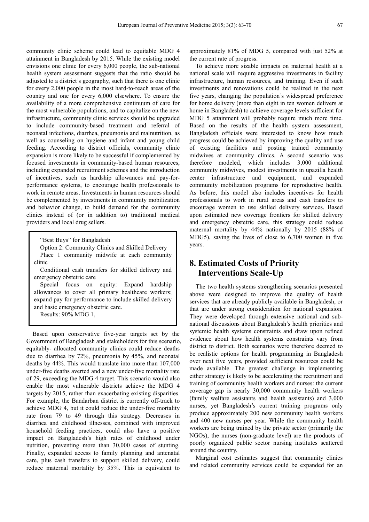community clinic scheme could lead to equitable MDG 4 attainment in Bangladesh by 2015. While the existing model envisions one clinic for every 6,000 people, the sub-national health system assessment suggests that the ratio should be adjusted to a district's geography, such that there is one clinic for every 2,000 people in the most hard-to-reach areas of the country and one for every 6,000 elsewhere. To ensure the availability of a more comprehensive continuum of care for the most vulnerable populations, and to capitalize on the new infrastructure, community clinic services should be upgraded to include community-based treatment and referral of neonatal infections, diarrhea, pneumonia and malnutrition, as well as counseling on hygiene and infant and young child feeding. According to district officials, community clinic expansion is more likely to be successful if complemented by focused investments in community-based human resources, including expanded recruitment schemes and the introduction of incentives, such as hardship allowances and pay-forperformance systems, to encourage health professionals to work in remote areas. Investments in human resources should be complemented by investments in community mobilization and behavior change, to build demand for the community clinics instead of (or in addition to) traditional medical providers and local drug sellers.

"Best Buys" for Bangladesh

Option 2: Community Clinics and Skilled Delivery Place 1 community midwife at each community clinic

Conditional cash transfers for skilled delivery and emergency obstetric care

Special focus on equity: Expand hardship allowances to cover all primary healthcare workers; expand pay for performance to include skilled delivery and basic emergency obstetric care.

Results: 90% MDG 1,

Based upon conservative five-year targets set by the Government of Bangladesh and stakeholders for this scenario, equitably- allocated community clinics could reduce deaths due to diarrhea by 72%, pneumonia by 45%, and neonatal deaths by 44%. This would translate into more than 107,000 under-five deaths averted and a new under-five mortality rate of 29, exceeding the MDG 4 target. This scenario would also enable the most vulnerable districts achieve the MDG 4 targets by 2015, rather than exacerbating existing disparities. For example, the Bandarban district is currently off-track to achieve MDG 4, but it could reduce the under-five mortality rate from 79 to 49 through this strategy. Decreases in diarrhea and childhood illnesses, combined with improved household feeding practices, could also have a positive impact on Bangladesh's high rates of childhood under nutrition, preventing more than 30,000 cases of stunting. Finally, expanded access to family planning and antenatal care, plus cash transfers to support skilled delivery, could reduce maternal mortality by 35%. This is equivalent to

approximately 81% of MDG 5, compared with just 52% at the current rate of progress.

To achieve more sizable impacts on maternal health at a national scale will require aggressive investments in facility infrastructure, human resources, and training. Even if such investments and renovations could be realized in the next five years, changing the population's widespread preference for home delivery (more than eight in ten women delivers at home in Bangladesh) to achieve coverage levels sufficient for MDG 5 attainment will probably require much more time. Based on the results of the health system assessment, Bangladesh officials were interested to know how much progress could be achieved by improving the quality and use of existing facilities and posting trained community midwives at community clinics. A second scenario was therefore modeled, which includes 3,000 additional community midwives, modest investments in upazilla health center infrastructure and equipment, and expanded community mobilization programs for reproductive health. As before, this model also includes incentives for health professionals to work in rural areas and cash transfers to encourage women to use skilled delivery services. Based upon estimated new coverage frontiers for skilled delivery and emergency obstetric care, this strategy could reduce maternal mortality by 44% nationally by 2015 (88% of MDG5), saving the lives of close to 6,700 women in five years.

#### **8. Estimated Costs of Priority Interventions Scale-Up**

The two health systems strengthening scenarios presented above were designed to improve the quality of health services that are already publicly available in Bangladesh, or that are under strong consideration for national expansion. They were developed through extensive national and subnational discussions about Bangladesh's health priorities and systemic health systems constraints and draw upon refined evidence about how health systems constraints vary from district to district. Both scenarios were therefore deemed to be realistic options for health programming in Bangladesh over next five years, provided sufficient resources could be made available. The greatest challenge in implementing either strategy is likely to be accelerating the recruitment and training of community health workers and nurses: the current coverage gap is nearly 30,000 community health workers (family welfare assistants and health assistants) and 3,000 nurses, yet Bangladesh's current training programs only produce approximately 200 new community health workers and 400 new nurses per year. While the community health workers are being trained by the private sector (primarily the NGOs), the nurses (non-graduate level) are the products of poorly organized public sector nursing institutes scattered around the country.

Marginal cost estimates suggest that community clinics and related community services could be expanded for an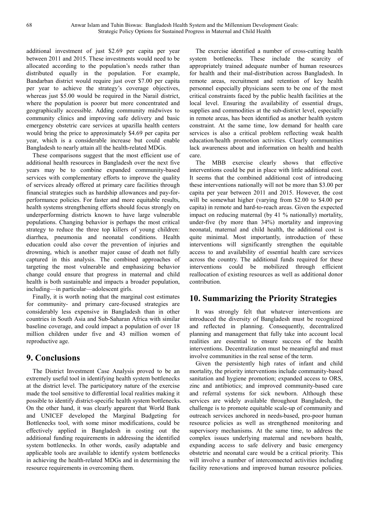additional investment of just \$2.69 per capita per year between 2011 and 2015. These investments would need to be allocated according to the population's needs rather than distributed equally in the population. For example, Bandarban district would require just over \$7.00 per capita per year to achieve the strategy's coverage objectives, whereas just \$5.00 would be required in the Narail district, where the population is poorer but more concentrated and geographically accessible. Adding community midwives to community clinics and improving safe delivery and basic emergency obstetric care services at upazilla health centers would bring the price to approximately \$4.69 per capita per year, which is a considerable increase but could enable Bangladesh to nearly attain all the health-related MDGs.

These comparisons suggest that the most efficient use of additional health resources in Bangladesh over the next five years may be to combine expanded community-based services with complementary efforts to improve the quality of services already offered at primary care facilities through financial strategies such as hardship allowances and pay-forperformance policies. For faster and more equitable results, health systems strengthening efforts should focus strongly on underperforming districts known to have large vulnerable populations. Changing behavior is perhaps the most critical strategy to reduce the three top killers of young children: diarrhea, pneumonia and neonatal conditions. Health education could also cover the prevention of injuries and drowning, which is another major cause of death not fully captured in this analysis. The combined approaches of targeting the most vulnerable and emphasizing behavior change could ensure that progress in maternal and child health is both sustainable and impacts a broader population, including—in particular—adolescent girls.

Finally, it is worth noting that the marginal cost estimates for community- and primary care-focused strategies are considerably less expensive in Bangladesh than in other countries in South Asia and Sub-Saharan Africa with similar baseline coverage, and could impact a population of over 18 million children under five and 43 million women of reproductive age.

## **9. Conclusions**

The District Investment Case Analysis proved to be an extremely useful tool in identifying health system bottlenecks at the district level. The participatory nature of the exercise made the tool sensitive to differential local realities making it possible to identify district-specific health system bottlenecks. On the other hand, it was clearly apparent that World Bank and UNICEF developed the Marginal Budgeting for Bottlenecks tool, with some minor modifications, could be effectively applied in Bangladesh in costing out the additional funding requirements in addressing the identified system bottlenecks. In other words, easily adaptable and applicable tools are available to identify system bottlenecks in achieving the health-related MDGs and in determining the resource requirements in overcoming them.

The exercise identified a number of cross-cutting health system bottlenecks. These include the scarcity of appropriately trained adequate number of human resources for health and their mal-distribution across Bangladesh. In remote areas, recruitment and retention of key health personnel especially physicians seem to be one of the most critical constraints faced by the public health facilities at the local level. Ensuring the availability of essential drugs, supplies and commodities at the sub-district level, especially in remote areas, has been identified as another health system constraint. At the same time, low demand for health care services is also a critical problem reflecting weak health education/health promotion activities. Clearly communities lack awareness about and information on health and health care.

The MBB exercise clearly shows that effective interventions could be put in place with little additional cost. It seems that the combined additional cost of introducing these interventions nationally will not be more than \$3.00 per capita per year between 2011 and 2015. However, the cost will be somewhat higher (varying from \$2.00 to \$4.00 per capita) in remote and hard-to-reach areas. Given the expected impact on reducing maternal (by 41 % nationally) mortality, under-five (by more than 34%) mortality and improving neonatal, maternal and child health, the additional cost is quite minimal. Most importantly, introduction of these interventions will significantly strengthen the equitable access to and availability of essential health care services across the country. The additional funds required for these interventions could be mobilized through efficient reallocation of existing resources as well as additional donor contribution.

## **10. Summarizing the Priority Strategies**

It was strongly felt that whatever interventions are introduced the diversity of Bangladesh must be recognized and reflected in planning. Consequently, decentralized planning and management that fully take into account local realities are essential to ensure success of the health interventions. Decentralization must be meaningful and must involve communities in the real sense of the term.

Given the persistently high rates of infant and child mortality, the priority interventions include community-based sanitation and hygiene promotion; expanded access to ORS, zinc and antibiotics; and improved community-based care and referral systems for sick newborn. Although these services are widely available throughout Bangladesh, the challenge is to promote equitable scale-up of community and outreach services anchored in needs-based, pro-poor human resource policies as well as strengthened monitoring and supervisory mechanisms. At the same time, to address the complex issues underlying maternal and newborn health, expanding access to safe delivery and basic emergency obstetric and neonatal care would be a critical priority. This will involve a number of interconnected activities including facility renovations and improved human resource policies.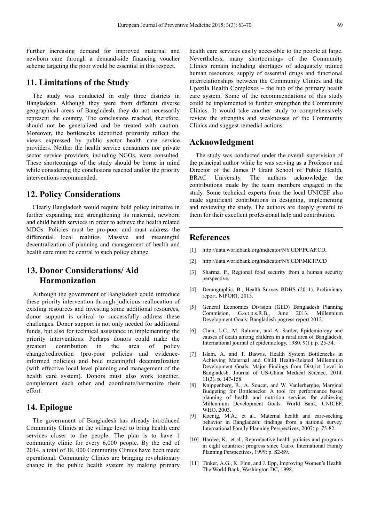Further increasing demand for improved maternal and newborn care through a demand-side financing voucher scheme targeting the poor would be essential in this respect.

#### **11. Limitations of the Study**

The study was conducted in only three districts in Bangladesh. Although they were from different diverse geographical areas of Bangladesh, they do not necessarily represent the country. The conclusions reached, therefore, should not be generalized and be treated with caution. Moreover, the bottlenecks identified primarily reflect the views expressed by public sector health care service providers. Neither the health service consumers nor private sector service providers, including NGOs, were consulted. These shortcomings of the study should be borne in mind while considering the conclusions reached and/or the priority interventions recommended.

#### **12. Policy Considerations**

Clearly Bangladesh would require bold policy initiative in further expanding and strengthening its maternal, newborn and child health services in order to achieve the health related MDGs. Policies must be pro-poor and must address the differential local realities. Massive and meaningful decentralization of planning and management of health and health care must be central to such policy change.

## **13. Donor Considerations/ Aid Harmonization**

Although the government of Bangladesh could introduce these priority intervention through judicious reallocation of existing resources and investing some additional resources, donor support is critical to successfully address these challenges. Donor support is not only needed for additional funds, but also for technical assistance in implementing the priority interventions. Perhaps donors could make the greatest contribution in the area of policy change/redirection (pro-poor policies and evidenceinformed policies) and bold meaningful decentralization (with effective local level planning and management of the health care system). Donors must also work together, complement each other and coordinate/harmonize their effort.

#### **14. Epilogue**

The government of Bangladesh has already introduced Community Clinics at the village level to bring health care services closer to the people. The plan is to have 1 community clinic for every 6,000 people. By the end of 2014, a total of 18, 000 Community Clinics have been made operational. Community Clinics are bringing revolutionary change in the public health system by making primary health care services easily accessible to the people at large. Nevertheless, many shortcomings of the Community Clinics remain including shortages of adequately trained human resources, supply of essential drugs and functional interrelationships between the Community Clinics and the Upazila Health Complexes – the hub of the primary health care system. Some of the recommendations of this study could be implemented to further strengthen the Community Clinics. It would take another study to comprehensively review the strengths and weaknesses of the Community Clinics and suggest remedial actions.

#### **Acknowledgment**

The study was conducted under the overall supervision of the principal author while he was serving as a Professor and Director of the James P Grant School of Public Health, BRAC University. The authors acknowledge the contributions made by the team members engaged in the study. Some technical experts from the local UNICEF also made significant contributions in designing, implementing and reviewing the study. The authors are deeply grateful to them for their excellent professional help and contribution.

#### **References**

- [1] http://data.worldbank.org/indicator/NY.GDP.PCAP.CD.
- [2] http://data.worldbank.org/indicator/NY.GDP.MKTP.CD
- [3] Sharma, P., Regional food security from a human security perspective.
- [4] Demographic, B., Health Survey BDHS (2011). Preliminary report. NIPORT, 2013.
- [5] General Economics Division (GED) Bangladesh Planning Commision, G.o.t.p.s.R.B., June 2013, Millennium Development Goals: Bangladesh pogress report 2012.
- [6] Chen, L.C., M. Rahman, and A. Sarder, Epidemiology and causes of death among children in a rural area of Bangladesh. International journal of epidemiology, 1980. 9(1): p. 25-34.
- [7] Islam, A. and T. Biswas, Health System Bottlenecks in Achieving Maternal and Child Health-Related Millennium Development Goals: Major Findings from District Level in Bangladesh. Journal of US-China Medical Science, 2014. 11(3). p. 147-158.
- [8] Knippenberg, R., A. Soucat, and W. Vanlerberghe, Marginal Budgeting for Bottlenecks: A tool for performance based planning of health and nutrition services for achieving Millennium Development Goals. World Bank, UNICEF, WHO, 2003.
- [9] Koenig, M.A., et al., Maternal health and care-seeking behavior in Bangladesh: findings from a national survey. International Family Planning Perspectives, 2007: p. 75-82.
- [10] Hardee, K., et al., Reproductive health policies and programs in eight countries: progress since Cairo. International Family Planning Perspectives, 1999: p. S2-S9.
- [11] Tinker, A.G., K. Finn, and J. Epp, Improving Women's Health. The World Bank, Washington DC, 1998.